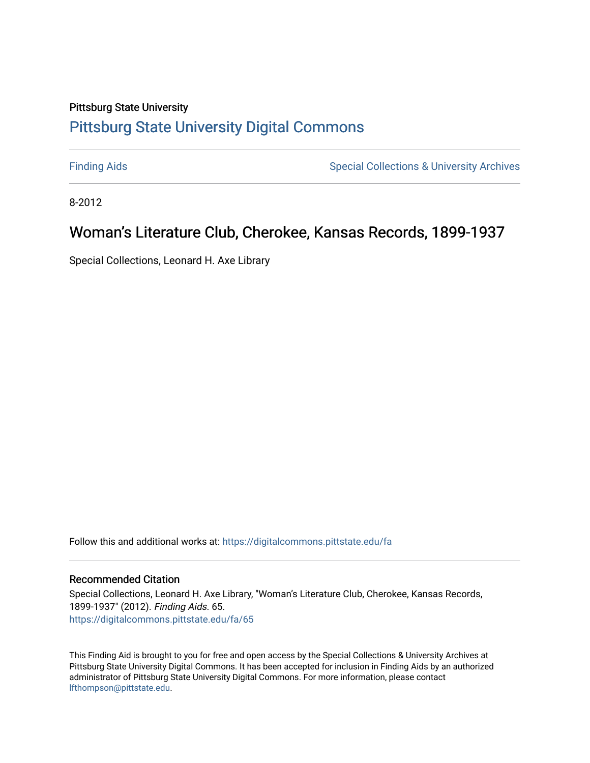# Pittsburg State University [Pittsburg State University Digital Commons](https://digitalcommons.pittstate.edu/)

[Finding Aids](https://digitalcommons.pittstate.edu/fa) **Special Collections & University Archives** Special Collections & University Archives

8-2012

# Woman's Literature Club, Cherokee, Kansas Records, 1899-1937

Special Collections, Leonard H. Axe Library

Follow this and additional works at: [https://digitalcommons.pittstate.edu/fa](https://digitalcommons.pittstate.edu/fa?utm_source=digitalcommons.pittstate.edu%2Ffa%2F65&utm_medium=PDF&utm_campaign=PDFCoverPages) 

# Recommended Citation

Special Collections, Leonard H. Axe Library, "Woman's Literature Club, Cherokee, Kansas Records, 1899-1937" (2012). Finding Aids. 65. [https://digitalcommons.pittstate.edu/fa/65](https://digitalcommons.pittstate.edu/fa/65?utm_source=digitalcommons.pittstate.edu%2Ffa%2F65&utm_medium=PDF&utm_campaign=PDFCoverPages) 

This Finding Aid is brought to you for free and open access by the Special Collections & University Archives at Pittsburg State University Digital Commons. It has been accepted for inclusion in Finding Aids by an authorized administrator of Pittsburg State University Digital Commons. For more information, please contact [lfthompson@pittstate.edu.](mailto:lfthompson@pittstate.edu)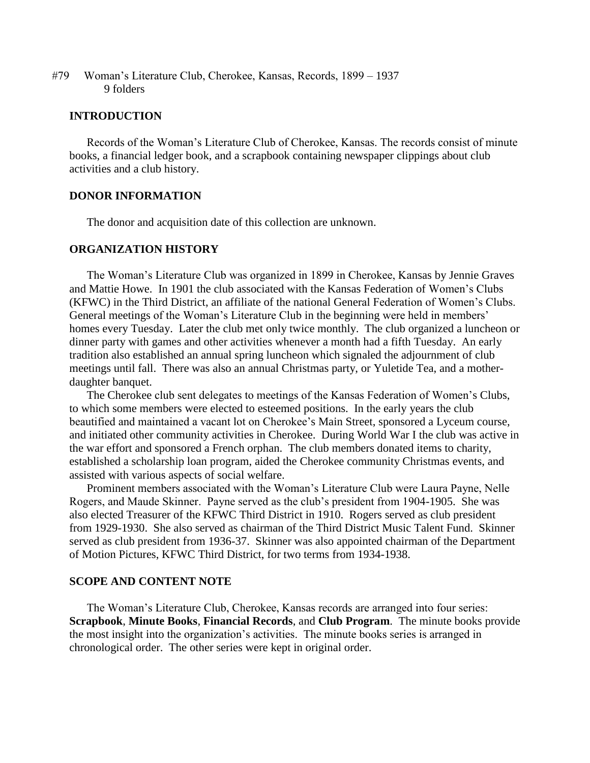#79 Woman's Literature Club, Cherokee, Kansas, Records, 1899 – 1937 9 folders

#### **INTRODUCTION**

Records of the Woman's Literature Club of Cherokee, Kansas. The records consist of minute books, a financial ledger book, and a scrapbook containing newspaper clippings about club activities and a club history.

## **DONOR INFORMATION**

The donor and acquisition date of this collection are unknown.

# **ORGANIZATION HISTORY**

The Woman's Literature Club was organized in 1899 in Cherokee, Kansas by Jennie Graves and Mattie Howe. In 1901 the club associated with the Kansas Federation of Women's Clubs (KFWC) in the Third District, an affiliate of the national General Federation of Women's Clubs. General meetings of the Woman's Literature Club in the beginning were held in members' homes every Tuesday. Later the club met only twice monthly. The club organized a luncheon or dinner party with games and other activities whenever a month had a fifth Tuesday. An early tradition also established an annual spring luncheon which signaled the adjournment of club meetings until fall. There was also an annual Christmas party, or Yuletide Tea, and a motherdaughter banquet.

The Cherokee club sent delegates to meetings of the Kansas Federation of Women's Clubs, to which some members were elected to esteemed positions. In the early years the club beautified and maintained a vacant lot on Cherokee's Main Street, sponsored a Lyceum course, and initiated other community activities in Cherokee. During World War I the club was active in the war effort and sponsored a French orphan. The club members donated items to charity, established a scholarship loan program, aided the Cherokee community Christmas events, and assisted with various aspects of social welfare.

Prominent members associated with the Woman's Literature Club were Laura Payne, Nelle Rogers, and Maude Skinner. Payne served as the club's president from 1904-1905. She was also elected Treasurer of the KFWC Third District in 1910. Rogers served as club president from 1929-1930. She also served as chairman of the Third District Music Talent Fund. Skinner served as club president from 1936-37. Skinner was also appointed chairman of the Department of Motion Pictures, KFWC Third District, for two terms from 1934-1938.

#### **SCOPE AND CONTENT NOTE**

The Woman's Literature Club, Cherokee, Kansas records are arranged into four series: **Scrapbook**, **Minute Books**, **Financial Records**, and **Club Program**. The minute books provide the most insight into the organization's activities. The minute books series is arranged in chronological order. The other series were kept in original order.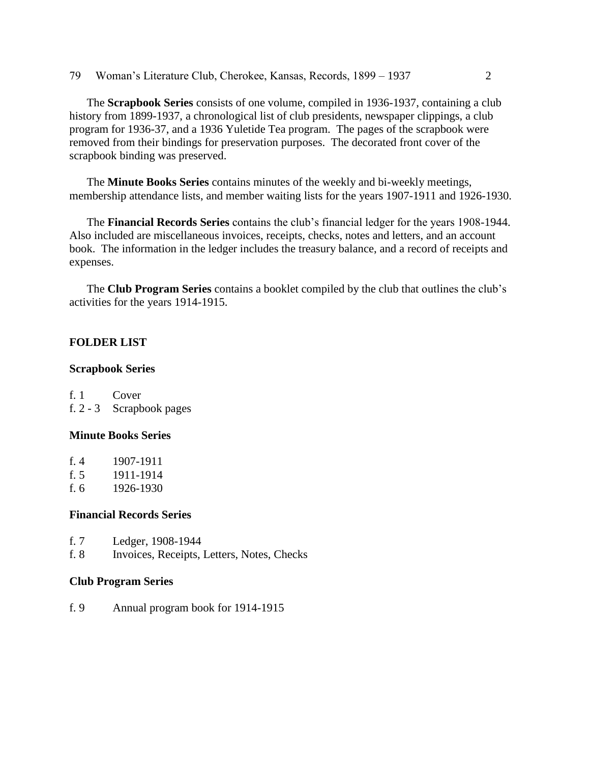79 Woman's Literature Club, Cherokee, Kansas, Records, 1899 – 1937 2

The **Scrapbook Series** consists of one volume, compiled in 1936-1937, containing a club history from 1899-1937, a chronological list of club presidents, newspaper clippings, a club program for 1936-37, and a 1936 Yuletide Tea program. The pages of the scrapbook were removed from their bindings for preservation purposes. The decorated front cover of the scrapbook binding was preserved.

The **Minute Books Series** contains minutes of the weekly and bi-weekly meetings, membership attendance lists, and member waiting lists for the years 1907-1911 and 1926-1930.

The **Financial Records Series** contains the club's financial ledger for the years 1908-1944. Also included are miscellaneous invoices, receipts, checks, notes and letters, and an account book. The information in the ledger includes the treasury balance, and a record of receipts and expenses.

The **Club Program Series** contains a booklet compiled by the club that outlines the club's activities for the years 1914-1915.

# **FOLDER LIST**

#### **Scrapbook Series**

f. 1 Cover f. 2 - 3 Scrapbook pages

## **Minute Books Series**

| f. $4$ | 1907-1911 |
|--------|-----------|
| f. $5$ | 1911-1914 |
| f. 6   | 1926-1930 |

### **Financial Records Series**

- f. 7 Ledger, 1908-1944
- f. 8 Invoices, Receipts, Letters, Notes, Checks

#### **Club Program Series**

f. 9 Annual program book for 1914-1915